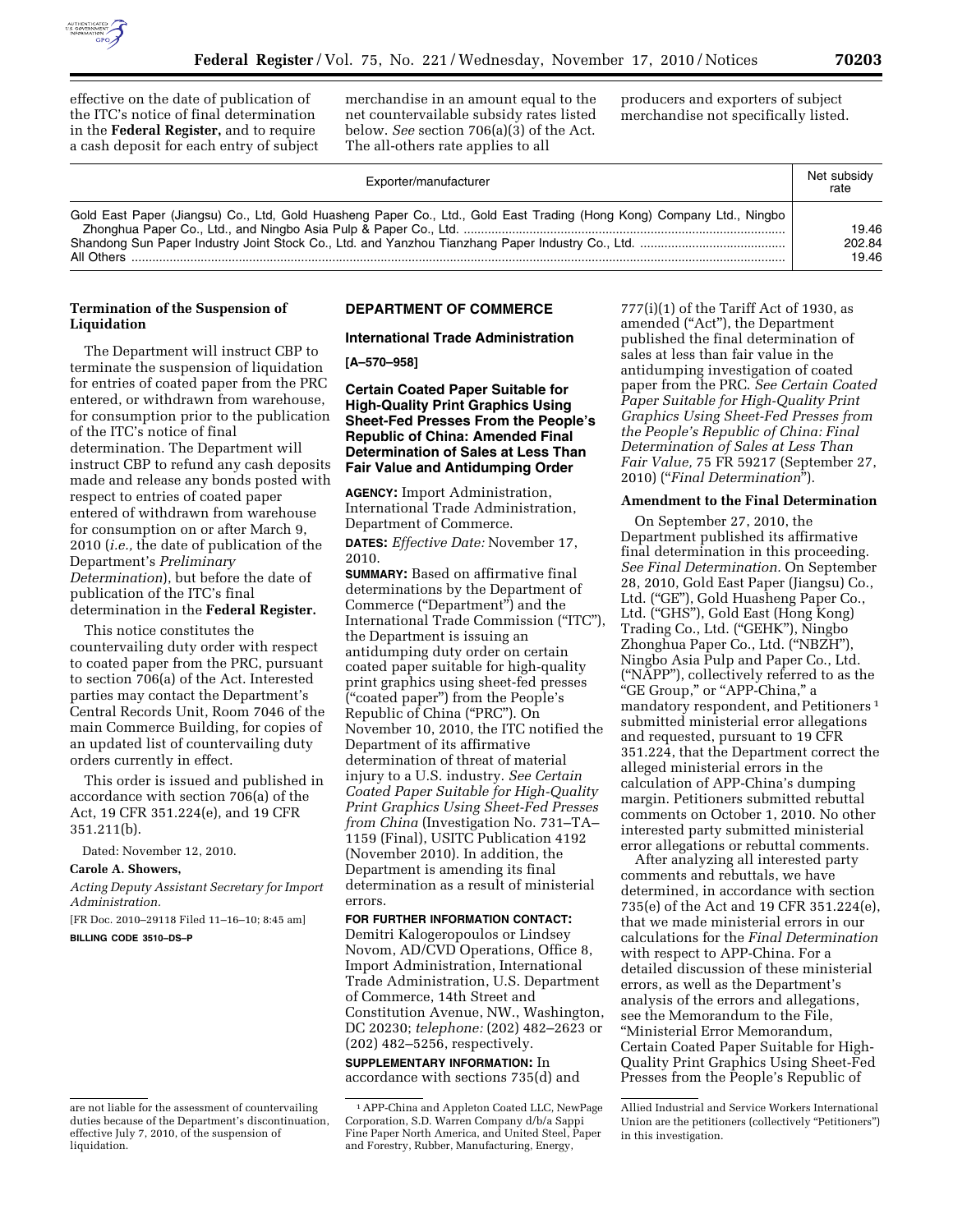

effective on the date of publication of the ITC's notice of final determination in the **Federal Register,** and to require a cash deposit for each entry of subject

merchandise in an amount equal to the net countervailable subsidy rates listed below. *See* section 706(a)(3) of the Act. The all-others rate applies to all

producers and exporters of subject merchandise not specifically listed.

| Exporter/manufacturer                                                                                                 | Net subsidy<br>rate      |
|-----------------------------------------------------------------------------------------------------------------------|--------------------------|
| Gold East Paper (Jiangsu) Co., Ltd, Gold Huasheng Paper Co., Ltd., Gold East Trading (Hong Kong) Company Ltd., Ningbo | 19.46<br>202.84<br>19.46 |

# **Termination of the Suspension of Liquidation**

The Department will instruct CBP to terminate the suspension of liquidation for entries of coated paper from the PRC entered, or withdrawn from warehouse, for consumption prior to the publication of the ITC's notice of final determination. The Department will instruct CBP to refund any cash deposits made and release any bonds posted with respect to entries of coated paper entered of withdrawn from warehouse for consumption on or after March 9, 2010 (*i.e.,* the date of publication of the Department's *Preliminary Determination*), but before the date of publication of the ITC's final determination in the **Federal Register.** 

This notice constitutes the countervailing duty order with respect to coated paper from the PRC, pursuant to section 706(a) of the Act. Interested parties may contact the Department's Central Records Unit, Room 7046 of the main Commerce Building, for copies of an updated list of countervailing duty orders currently in effect.

This order is issued and published in accordance with section 706(a) of the Act, 19 CFR 351.224(e), and 19 CFR 351.211(b).

Dated: November 12, 2010.

### **Carole A. Showers,**

*Acting Deputy Assistant Secretary for Import Administration.* 

[FR Doc. 2010–29118 Filed 11–16–10; 8:45 am] **BILLING CODE 3510–DS–P** 

# **DEPARTMENT OF COMMERCE**

## **International Trade Administration**

**[A–570–958]** 

**Certain Coated Paper Suitable for High-Quality Print Graphics Using Sheet-Fed Presses From the People's Republic of China: Amended Final Determination of Sales at Less Than Fair Value and Antidumping Order** 

**AGENCY:** Import Administration, International Trade Administration, Department of Commerce.

**DATES:** *Effective Date:* November 17, 2010.

**SUMMARY:** Based on affirmative final determinations by the Department of Commerce (''Department'') and the International Trade Commission (''ITC''), the Department is issuing an antidumping duty order on certain coated paper suitable for high-quality print graphics using sheet-fed presses (''coated paper'') from the People's Republic of China (''PRC''). On November 10, 2010, the ITC notified the Department of its affirmative determination of threat of material injury to a U.S. industry. *See Certain Coated Paper Suitable for High-Quality Print Graphics Using Sheet-Fed Presses from China* (Investigation No. 731–TA– 1159 (Final), USITC Publication 4192 (November 2010). In addition, the Department is amending its final determination as a result of ministerial errors.

### **FOR FURTHER INFORMATION CONTACT:**

Demitri Kalogeropoulos or Lindsey Novom, AD/CVD Operations, Office 8, Import Administration, International Trade Administration, U.S. Department of Commerce, 14th Street and Constitution Avenue, NW., Washington, DC 20230; *telephone:* (202) 482–2623 or (202) 482–5256, respectively.

**SUPPLEMENTARY INFORMATION:** In accordance with sections 735(d) and

 $777(i)(1)$  of the Tariff Act of 1930, as amended (''Act''), the Department published the final determination of sales at less than fair value in the antidumping investigation of coated paper from the PRC. *See Certain Coated Paper Suitable for High-Quality Print Graphics Using Sheet-Fed Presses from the People's Republic of China: Final Determination of Sales at Less Than Fair Value,* 75 FR 59217 (September 27, 2010) (''*Final Determination*'').

### **Amendment to the Final Determination**

On September 27, 2010, the Department published its affirmative final determination in this proceeding. *See Final Determination.* On September 28, 2010, Gold East Paper (Jiangsu) Co., Ltd. ("GE"), Gold Huasheng Paper Co., Ltd. ("GHS"), Gold East (Hong Kong) Trading Co., Ltd. ("GEHK"), Ningbo Zhonghua Paper Co., Ltd. (''NBZH''), Ningbo Asia Pulp and Paper Co., Ltd. (''NAPP''), collectively referred to as the ''GE Group,'' or ''APP-China,'' a mandatory respondent, and Petitioners 1 submitted ministerial error allegations and requested, pursuant to 19 CFR 351.224, that the Department correct the alleged ministerial errors in the calculation of APP-China's dumping margin. Petitioners submitted rebuttal comments on October 1, 2010. No other interested party submitted ministerial error allegations or rebuttal comments.

After analyzing all interested party comments and rebuttals, we have determined, in accordance with section 735(e) of the Act and 19 CFR 351.224(e), that we made ministerial errors in our calculations for the *Final Determination*  with respect to APP-China. For a detailed discussion of these ministerial errors, as well as the Department's analysis of the errors and allegations, see the Memorandum to the File, ''Ministerial Error Memorandum, Certain Coated Paper Suitable for High-Quality Print Graphics Using Sheet-Fed Presses from the People's Republic of

Allied Industrial and Service Workers International Union are the petitioners (collectively ''Petitioners'') in this investigation.

are not liable for the assessment of countervailing duties because of the Department's discontinuation, effective July 7, 2010, of the suspension of liquidation.

<sup>1</sup>APP-China and Appleton Coated LLC, NewPage Corporation, S.D. Warren Company d/b/a Sappi Fine Paper North America, and United Steel, Paper and Forestry, Rubber, Manufacturing, Energy,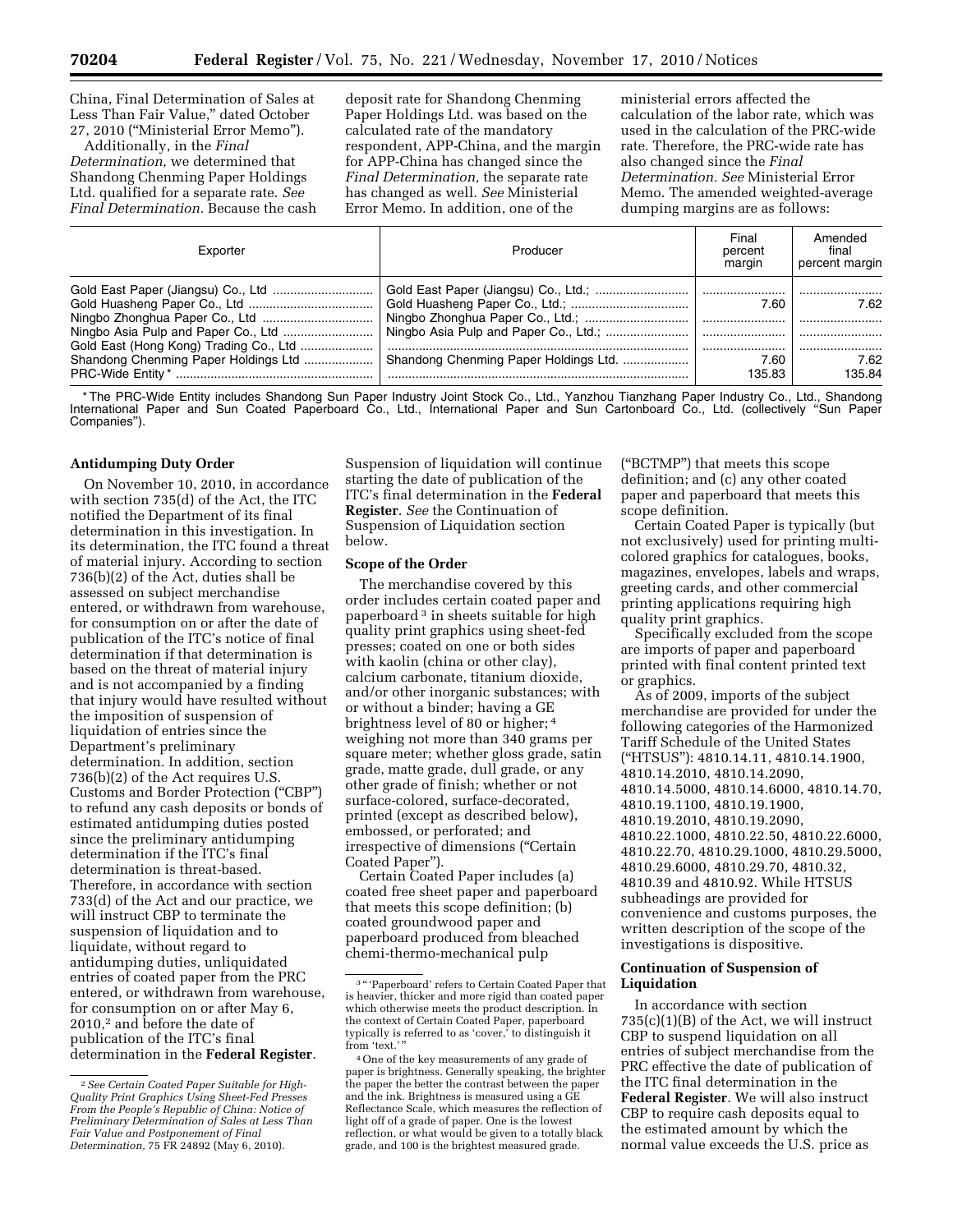China, Final Determination of Sales at Less Than Fair Value,'' dated October 27, 2010 (''Ministerial Error Memo'').

Additionally, in the *Final Determination,* we determined that Shandong Chenming Paper Holdings Ltd. qualified for a separate rate. *See Final Determination.* Because the cash deposit rate for Shandong Chenming Paper Holdings Ltd. was based on the calculated rate of the mandatory respondent, APP-China, and the margin for APP-China has changed since the *Final Determination,* the separate rate has changed as well. *See* Ministerial Error Memo. In addition, one of the

ministerial errors affected the calculation of the labor rate, which was used in the calculation of the PRC-wide rate. Therefore, the PRC-wide rate has also changed since the *Final Determination. See* Ministerial Error Memo. The amended weighted-average dumping margins are as follows:

| Exporter                               | Producer                              | Final<br>percent<br>margin | Amended<br>final<br>percent margin |
|----------------------------------------|---------------------------------------|----------------------------|------------------------------------|
|                                        |                                       |                            |                                    |
|                                        |                                       | 7.60                       | 7.62                               |
|                                        |                                       |                            |                                    |
|                                        | Ningbo Asia Pulp and Paper Co., Ltd.; |                            |                                    |
| Gold East (Hong Kong) Trading Co., Ltd |                                       |                            |                                    |
| Shandong Chenming Paper Holdings Ltd   | Shandong Chenming Paper Holdings Ltd. | 7.60                       | 7.62                               |
|                                        |                                       | 135.83                     | 135.84                             |

\* The PRC-Wide Entity includes Shandong Sun Paper Industry Joint Stock Co., Ltd., Yanzhou Tianzhang Paper Industry Co., Ltd., Shandong International Paper and Sun Coated Paperboard Co., Ltd., International Paper and Sun Cartonboard Co., Ltd. (collectively ''Sun Paper Companies'').

#### **Antidumping Duty Order**

On November 10, 2010, in accordance with section 735(d) of the Act, the ITC notified the Department of its final determination in this investigation. In its determination, the ITC found a threat of material injury. According to section 736(b)(2) of the Act, duties shall be assessed on subject merchandise entered, or withdrawn from warehouse, for consumption on or after the date of publication of the ITC's notice of final determination if that determination is based on the threat of material injury and is not accompanied by a finding that injury would have resulted without the imposition of suspension of liquidation of entries since the Department's preliminary determination. In addition, section 736(b)(2) of the Act requires U.S. Customs and Border Protection (''CBP'') to refund any cash deposits or bonds of estimated antidumping duties posted since the preliminary antidumping determination if the ITC's final determination is threat-based. Therefore, in accordance with section 733(d) of the Act and our practice, we will instruct CBP to terminate the suspension of liquidation and to liquidate, without regard to antidumping duties, unliquidated entries of coated paper from the PRC entered, or withdrawn from warehouse, for consumption on or after May 6, 2010,2 and before the date of publication of the ITC's final determination in the **Federal Register**.

Suspension of liquidation will continue starting the date of publication of the ITC's final determination in the **Federal Register**. *See* the Continuation of Suspension of Liquidation section below.

#### **Scope of the Order**

The merchandise covered by this order includes certain coated paper and paperboard 3 in sheets suitable for high quality print graphics using sheet-fed presses; coated on one or both sides with kaolin (china or other clay), calcium carbonate, titanium dioxide, and/or other inorganic substances; with or without a binder; having a GE brightness level of 80 or higher; 4 weighing not more than 340 grams per square meter; whether gloss grade, satin grade, matte grade, dull grade, or any other grade of finish; whether or not surface-colored, surface-decorated, printed (except as described below), embossed, or perforated; and irrespective of dimensions (''Certain Coated Paper'').

Certain Coated Paper includes (a) coated free sheet paper and paperboard that meets this scope definition; (b) coated groundwood paper and paperboard produced from bleached chemi-thermo-mechanical pulp

(''BCTMP'') that meets this scope definition; and (c) any other coated paper and paperboard that meets this scope definition.

Certain Coated Paper is typically (but not exclusively) used for printing multicolored graphics for catalogues, books, magazines, envelopes, labels and wraps, greeting cards, and other commercial printing applications requiring high quality print graphics.

Specifically excluded from the scope are imports of paper and paperboard printed with final content printed text or graphics.

As of 2009, imports of the subject merchandise are provided for under the following categories of the Harmonized Tariff Schedule of the United States (''HTSUS''): 4810.14.11, 4810.14.1900, 4810.14.2010, 4810.14.2090, 4810.14.5000, 4810.14.6000, 4810.14.70, 4810.19.1100, 4810.19.1900, 4810.19.2010, 4810.19.2090, 4810.22.1000, 4810.22.50, 4810.22.6000, 4810.22.70, 4810.29.1000, 4810.29.5000, 4810.29.6000, 4810.29.70, 4810.32, 4810.39 and 4810.92. While HTSUS subheadings are provided for convenience and customs purposes, the written description of the scope of the investigations is dispositive.

### **Continuation of Suspension of Liquidation**

In accordance with section 735(c)(1)(B) of the Act, we will instruct CBP to suspend liquidation on all entries of subject merchandise from the PRC effective the date of publication of the ITC final determination in the **Federal Register**. We will also instruct CBP to require cash deposits equal to the estimated amount by which the normal value exceeds the U.S. price as

<sup>2</sup>*See Certain Coated Paper Suitable for High-Quality Print Graphics Using Sheet-Fed Presses From the People's Republic of China: Notice of Preliminary Determination of Sales at Less Than Fair Value and Postponement of Final Determination,* 75 FR 24892 (May 6, 2010).

<sup>&</sup>lt;sup>3</sup> "'Paperboard' refers to Certain Coated Paper that is heavier, thicker and more rigid than coated paper which otherwise meets the product description. In the context of Certain Coated Paper, paperboard typically is referred to as 'cover,' to distinguish it from 'text.''

<sup>4</sup>One of the key measurements of any grade of paper is brightness. Generally speaking, the brighter the paper the better the contrast between the paper and the ink. Brightness is measured using a GE Reflectance Scale, which measures the reflection of light off of a grade of paper. One is the lowest reflection, or what would be given to a totally black grade, and 100 is the brightest measured grade.